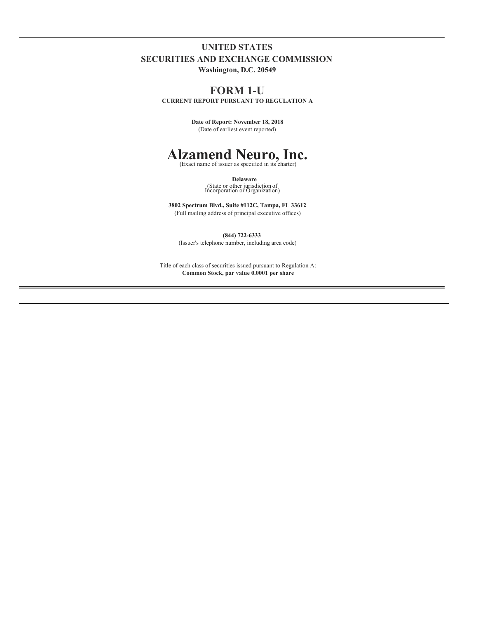## **UNITED STATES SECURITIES AND EXCHANGE COMMISSION**

**Washington, D.C. 20549**

### **FORM 1-U**

**CURRENT REPORT PURSUANT TO REGULATION A**

**Date of Report: November 18, 2018** (Date of earliest event reported)

# **Alzamend Neuro, Inc.** (Exact name of issuer as specified in its charter)

**Delaware** (State or other jurisdiction of Incorporation or Organization)

**3802 Spectrum Blvd., Suite #112C, Tampa, FL 33612** (Full mailing address of principal executive offices)

**(844) 722-6333**

(Issuer's telephone number, including area code)

Title of each class of securities issued pursuant to Regulation A: **Common Stock, par value 0.0001 per share**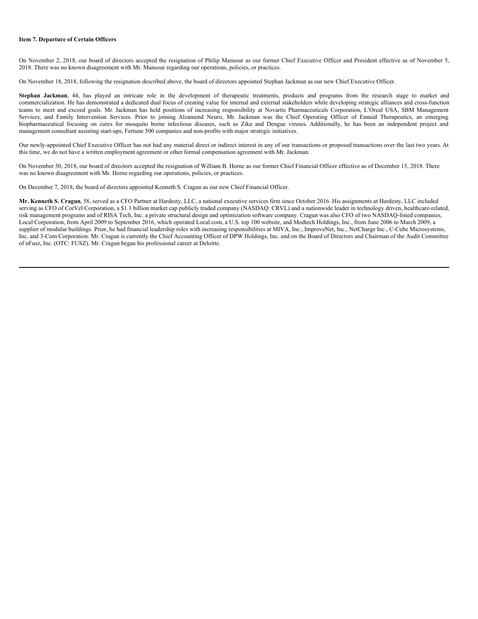#### **Item 7. Departure of Certain Officers**

On November 2, 2018, our board of directors accepted the resignation of Philip Mansour as our former Chief Executive Officer and President effective as of November 5, 2018. There was no known disagreement with Mr. Mansour regarding our operations, policies, or practices.

On November 18, 2018, following the resignation described above, the board of directors appointed Stephan Jackman as our new Chief Executive Officer.

Stephan Jackman, 44, has played an intricate role in the development of therapeutic treatments, products and programs from the research stage to market and commercialization. He has demonstrated a dedicated dual focus of creating value for internal and external stakeholders while developing strategic alliances and cross-function teams to meet and exceed goals. Mr. Jackman has held positions of increasing responsibility at Novartis Pharmaceuticals Corporation, L'Oreal USA, SBM Management Services, and Family Intervention Services. Prior to joining Alzamend Neuro, Mr. Jackman was the Chief Operating Officer of Ennaid Therapeutics, an emerging biopharmaceutical focusing on cures for mosquito borne infectious diseases, such as Zika and Dengue viruses. Additionally, he has been an independent project and management consultant assisting start-ups, Fortune 500 companies and non-profits with major strategic initiatives.

Our newly-appointed Chief Executive Officer has not had any material direct or indirect interest in any of our transactions or proposed transactions over the last two years. At this time, we do not have a written employment agreement or other formal compensation agreement with Mr. Jackman.

On November 30, 2018, our board of directors accepted the resignation of William B. Horne as our former Chief Financial Officer effective as of December 15, 2018. There was no known disagreement with Mr. Horne regarding our operations, policies, or practices.

On December 7, 2018, the board of directors appointed Kenneth S. Cragun as our new Chief Financial Officer.

**Mr. Kenneth S. Cragun**, 58, served as a CFO Partner at Hardesty, LLC, a national executive services firm since October 2016. His assignments at Hardesty, LLC included serving as CFO of CorVel Corporation, a \$1.1 billion market cap publicly traded company (NASDAQ: CRVL) and a nationwide leader in technology driven, healthcare-related, risk management programs and of RISA Tech, Inc. a private structural design and optimization software company. Cragun was also CFO of two NASDAQ-listed companies, Local Corporation, from April 2009 to September 2016, which operated Local.com, a U.S. top 100 website, and Modtech Holdings, Inc., from June 2006 to March 2009, a supplier of modular buildings. Prior, he had financial leadership roles with increasing responsibilities at MIVA, Inc., ImproveNet, Inc., NetCharge Inc., C-Cube Microsystems, Inc, and 3-Com Corporation. Mr. Cragun is currently the Chief Accounting Officer of DPW Holdings, Inc. and on the Board of Directors and Chairman of the Audit Committee of nFusz, Inc. (OTC: FUSZ). Mr. Cragun began his professional career at Deloitte.